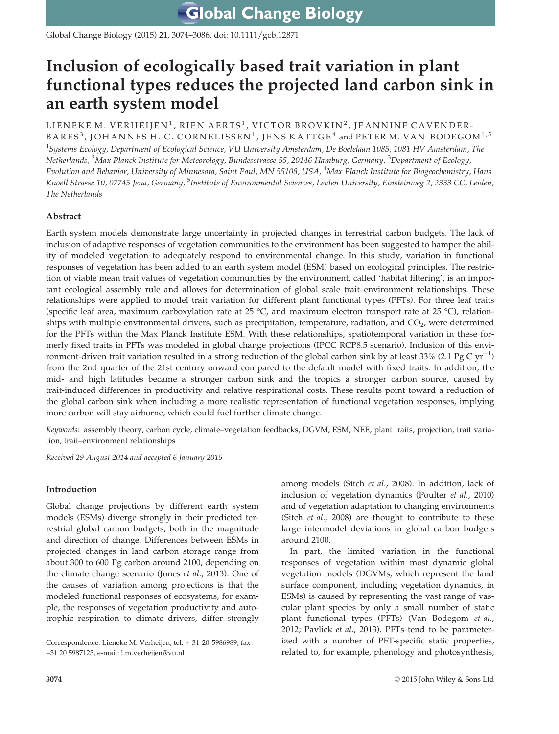**Global Change Biology** 

Global Change Biology (2015) 21, 3074–3086, doi: 10.1111/gcb.12871

# Inclusion of ecologically based trait variation in plant functional types reduces the projected land carbon sink in an earth system model

# LIENEKE M. VERHEIJEN<sup>1</sup>, RIEN AERTS<sup>1</sup>, VICTOR BROVKIN<sup>2</sup>, JEANNINE CAVENDER-BARES<sup>3</sup>, JOHANNES H. C. CORNELISSEN<sup>1</sup>, JENS KATTGE<sup>4</sup> and PETER M. VAN BODEGOM<sup>1,5</sup>  $^1$ Systems Ecology, Department of Ecological Science, VU University Amsterdam, De Boelelaan 1085, 1081 HV Amsterdam, The Netherlands, <sup>2</sup>Max Planck Institute for Meteorology, Bundesstrasse 55, 20146 Hamburg, Germany, <sup>3</sup>Department of Ecology, Evolution and Behavior, University of Minnesota, Saint Paul, MN 55108, USA, <sup>4</sup>Max Planck Institute for Biogeochemistry, Hans Knoell Strasse 10, 07745 Jena, Germany, <sup>5</sup>Institute of Environmental Sciences, Leiden University, Einsteinweg 2, 2333 CC, Leiden,

# Abstract

The Netherlands

Earth system models demonstrate large uncertainty in projected changes in terrestrial carbon budgets. The lack of inclusion of adaptive responses of vegetation communities to the environment has been suggested to hamper the ability of modeled vegetation to adequately respond to environmental change. In this study, variation in functional responses of vegetation has been added to an earth system model (ESM) based on ecological principles. The restriction of viable mean trait values of vegetation communities by the environment, called 'habitat filtering', is an important ecological assembly rule and allows for determination of global scale trait–environment relationships. These relationships were applied to model trait variation for different plant functional types (PFTs). For three leaf traits (specific leaf area, maximum carboxylation rate at 25 °C, and maximum electron transport rate at 25 °C), relationships with multiple environmental drivers, such as precipitation, temperature, radiation, and  $CO<sub>2</sub>$ , were determined for the PFTs within the Max Planck Institute ESM. With these relationships, spatiotemporal variation in these formerly fixed traits in PFTs was modeled in global change projections (IPCC RCP8.5 scenario). Inclusion of this environment-driven trait variation resulted in a strong reduction of the global carbon sink by at least 33% (2.1 Pg C yr<sup>-1</sup>) from the 2nd quarter of the 21st century onward compared to the default model with fixed traits. In addition, the mid- and high latitudes became a stronger carbon sink and the tropics a stronger carbon source, caused by trait-induced differences in productivity and relative respirational costs. These results point toward a reduction of the global carbon sink when including a more realistic representation of functional vegetation responses, implying more carbon will stay airborne, which could fuel further climate change.

Keywords: assembly theory, carbon cycle, climate–vegetation feedbacks, DGVM, ESM, NEE, plant traits, projection, trait variation, trait–environment relationships

Received 29 August 2014 and accepted 6 January 2015

## Introduction

Global change projections by different earth system models (ESMs) diverge strongly in their predicted terrestrial global carbon budgets, both in the magnitude and direction of change. Differences between ESMs in projected changes in land carbon storage range from about 300 to 600 Pg carbon around 2100, depending on the climate change scenario (Jones et al., 2013). One of the causes of variation among projections is that the modeled functional responses of ecosystems, for example, the responses of vegetation productivity and autotrophic respiration to climate drivers, differ strongly

among models (Sitch et al., 2008). In addition, lack of inclusion of vegetation dynamics (Poulter et al., 2010) and of vegetation adaptation to changing environments (Sitch et al., 2008) are thought to contribute to these large intermodel deviations in global carbon budgets around 2100.

In part, the limited variation in the functional responses of vegetation within most dynamic global vegetation models (DGVMs, which represent the land surface component, including vegetation dynamics, in ESMs) is caused by representing the vast range of vascular plant species by only a small number of static plant functional types (PFTs) (Van Bodegom et al., 2012; Pavlick et al., 2013). PFTs tend to be parameterized with a number of PFT-specific static properties, related to, for example, phenology and photosynthesis,

Correspondence: Lieneke M. Verheijen, tel. + 31 20 5986989, fax +31 20 5987123, e-mail: l.m.verheijen@vu.nl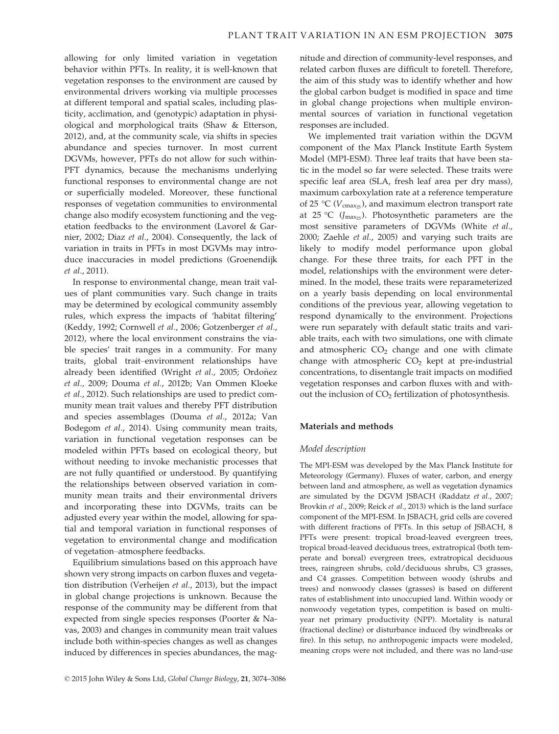allowing for only limited variation in vegetation behavior within PFTs. In reality, it is well-known that vegetation responses to the environment are caused by environmental drivers working via multiple processes at different temporal and spatial scales, including plasticity, acclimation, and (genotypic) adaptation in physiological and morphological traits (Shaw & Etterson, 2012), and, at the community scale, via shifts in species abundance and species turnover. In most current DGVMs, however, PFTs do not allow for such within-PFT dynamics, because the mechanisms underlying functional responses to environmental change are not or superficially modeled. Moreover, these functional responses of vegetation communities to environmental change also modify ecosystem functioning and the vegetation feedbacks to the environment (Lavorel & Garnier, 2002; Diaz et al., 2004). Consequently, the lack of variation in traits in PFTs in most DGVMs may introduce inaccuracies in model predictions (Groenendijk et al., 2011).

In response to environmental change, mean trait values of plant communities vary. Such change in traits may be determined by ecological community assembly rules, which express the impacts of 'habitat filtering' (Keddy, 1992; Cornwell et al., 2006; Gotzenberger et al., 2012), where the local environment constrains the viable species' trait ranges in a community. For many traits, global trait–environment relationships have already been identified (Wright et al., 2005; Ordoñez et al., 2009; Douma et al., 2012b; Van Ommen Kloeke et al., 2012). Such relationships are used to predict community mean trait values and thereby PFT distribution and species assemblages (Douma et al., 2012a; Van Bodegom et al., 2014). Using community mean traits, variation in functional vegetation responses can be modeled within PFTs based on ecological theory, but without needing to invoke mechanistic processes that are not fully quantified or understood. By quantifying the relationships between observed variation in community mean traits and their environmental drivers and incorporating these into DGVMs, traits can be adjusted every year within the model, allowing for spatial and temporal variation in functional responses of vegetation to environmental change and modification of vegetation–atmosphere feedbacks.

Equilibrium simulations based on this approach have shown very strong impacts on carbon fluxes and vegetation distribution (Verheijen et al., 2013), but the impact in global change projections is unknown. Because the response of the community may be different from that expected from single species responses (Poorter & Navas, 2003) and changes in community mean trait values include both within-species changes as well as changes induced by differences in species abundances, the magnitude and direction of community-level responses, and related carbon fluxes are difficult to foretell. Therefore, the aim of this study was to identify whether and how the global carbon budget is modified in space and time in global change projections when multiple environmental sources of variation in functional vegetation responses are included.

We implemented trait variation within the DGVM component of the Max Planck Institute Earth System Model (MPI-ESM). Three leaf traits that have been static in the model so far were selected. These traits were specific leaf area (SLA, fresh leaf area per dry mass), maximum carboxylation rate at a reference temperature of 25 °C ( $V_{\text{cmax}}$ ), and maximum electron transport rate at 25 °C ( $J_{\text{max}_{25}}$ ). Photosynthetic parameters are the most sensitive parameters of DGVMs (White et al., 2000; Zaehle et al., 2005) and varying such traits are likely to modify model performance upon global change. For these three traits, for each PFT in the model, relationships with the environment were determined. In the model, these traits were reparameterized on a yearly basis depending on local environmental conditions of the previous year, allowing vegetation to respond dynamically to the environment. Projections were run separately with default static traits and variable traits, each with two simulations, one with climate and atmospheric  $CO<sub>2</sub>$  change and one with climate change with atmospheric  $CO<sub>2</sub>$  kept at pre-industrial concentrations, to disentangle trait impacts on modified vegetation responses and carbon fluxes with and without the inclusion of CO<sub>2</sub> fertilization of photosynthesis.

#### Materials and methods

## Model description

The MPI-ESM was developed by the Max Planck Institute for Meteorology (Germany). Fluxes of water, carbon, and energy between land and atmosphere, as well as vegetation dynamics are simulated by the DGVM JSBACH (Raddatz et al., 2007; Brovkin et al., 2009; Reick et al., 2013) which is the land surface component of the MPI-ESM. In JSBACH, grid cells are covered with different fractions of PFTs. In this setup of JSBACH, 8 PFTs were present: tropical broad-leaved evergreen trees, tropical broad-leaved deciduous trees, extratropical (both temperate and boreal) evergreen trees, extratropical deciduous trees, raingreen shrubs, cold/deciduous shrubs, C3 grasses, and C4 grasses. Competition between woody (shrubs and trees) and nonwoody classes (grasses) is based on different rates of establishment into unoccupied land. Within woody or nonwoody vegetation types, competition is based on multiyear net primary productivity (NPP). Mortality is natural (fractional decline) or disturbance induced (by windbreaks or fire). In this setup, no anthropogenic impacts were modeled, meaning crops were not included, and there was no land-use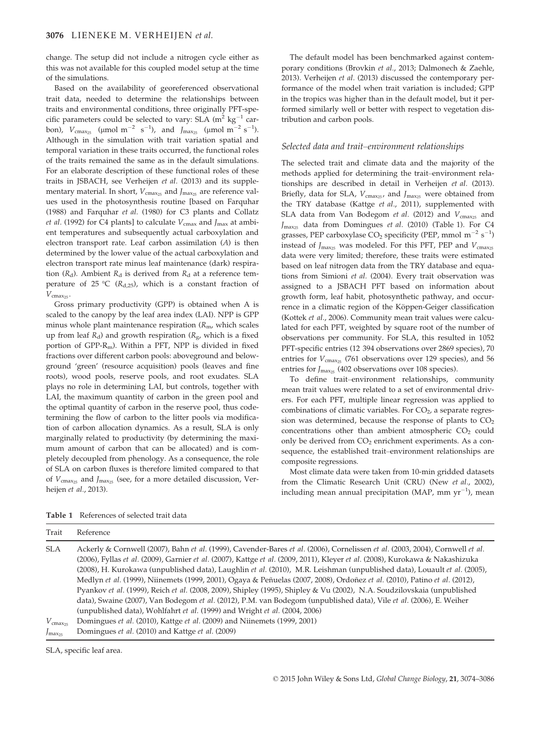change. The setup did not include a nitrogen cycle either as this was not available for this coupled model setup at the time of the simulations.

Based on the availability of georeferenced observational trait data, needed to determine the relationships between traits and environmental conditions, three originally PFT-specific parameters could be selected to vary: SLA  $(m^2 \text{ kg}^{-1}$  carbon),  $V_{\text{cmax}_{25}}$  (µmol m<sup>-2</sup> s<sup>-1</sup>), and J<sub>max<sub>25</sub> (µmol m<sup>-2</sup> s<sup>-1</sup>).</sub> Although in the simulation with trait variation spatial and temporal variation in these traits occurred, the functional roles of the traits remained the same as in the default simulations. For an elaborate description of these functional roles of these traits in JSBACH, see Verheijen et al. (2013) and its supplementary material. In short,  $V_{\text{cmax}_{25}}$  and  $J_{\text{max}_{25}}$  are reference values used in the photosynthesis routine [based on Farquhar (1988) and Farquhar et al. (1980) for C3 plants and Collatz *et al.* (1992) for C4 plants] to calculate  $V_{\text{cmax}}$  and  $I_{\text{max}}$  at ambient temperatures and subsequently actual carboxylation and electron transport rate. Leaf carbon assimilation (A) is then determined by the lower value of the actual carboxylation and electron transport rate minus leaf maintenance (dark) respiration  $(R_d)$ . Ambient  $R_d$  is derived from  $R_d$  at a reference temperature of 25 °C ( $R_{d,25}$ ), which is a constant fraction of  $V_{\text{cmax}_{25}}$ .

Gross primary productivity (GPP) is obtained when A is scaled to the canopy by the leaf area index (LAI). NPP is GPP minus whole plant maintenance respiration  $(R_{\rm mv}$  which scales up from leaf  $R_d$ ) and growth respiration ( $R_g$ , which is a fixed portion of GPP-Rm). Within a PFT, NPP is divided in fixed fractions over different carbon pools: aboveground and belowground 'green' (resource acquisition) pools (leaves and fine roots), wood pools, reserve pools, and root exudates. SLA plays no role in determining LAI, but controls, together with LAI, the maximum quantity of carbon in the green pool and the optimal quantity of carbon in the reserve pool, thus codetermining the flow of carbon to the litter pools via modification of carbon allocation dynamics. As a result, SLA is only marginally related to productivity (by determining the maximum amount of carbon that can be allocated) and is completely decoupled from phenology. As a consequence, the role of SLA on carbon fluxes is therefore limited compared to that of  $V_{\text{cmax}_{25}}$  and  $J_{\text{max}_{25}}$  (see, for a more detailed discussion, Verheijen et al., 2013).

The default model has been benchmarked against contemporary conditions (Brovkin et al., 2013; Dalmonech & Zaehle, 2013). Verheijen et al. (2013) discussed the contemporary performance of the model when trait variation is included; GPP in the tropics was higher than in the default model, but it performed similarly well or better with respect to vegetation distribution and carbon pools.

#### Selected data and trait–environment relationships

The selected trait and climate data and the majority of the methods applied for determining the trait–environment relationships are described in detail in Verheijen et al. (2013). Briefly, data for SLA,  $V_{\text{cmax}_{25}}$ , and  $J_{\text{max}_{25}}$  were obtained from the TRY database (Kattge et al., 2011), supplemented with SLA data from Van Bodegom et al. (2012) and  $V_{\text{cmax}_{25}}$  and  $J_{\text{max}_{25}}$  data from Domingues et al. (2010) (Table 1). For C4 grasses, PEP carboxylase  $CO_2$  specificity (PEP, mmol m<sup>-2</sup> s<sup>-1</sup>) instead of  $J_{\text{max}_{25}}$  was modeled. For this PFT, PEP and  $V_{\text{cmax}_{25}}$ data were very limited; therefore, these traits were estimated based on leaf nitrogen data from the TRY database and equations from Simioni et al. (2004). Every trait observation was assigned to a JSBACH PFT based on information about growth form, leaf habit, photosynthetic pathway, and occurrence in a climatic region of the Köppen-Geiger classification (Kottek et al., 2006). Community mean trait values were calculated for each PFT, weighted by square root of the number of observations per community. For SLA, this resulted in 1052 PFT-specific entries (12 394 observations over 2869 species), 70 entries for  $V_{\text{cmax}_{25}}$  (761 observations over 129 species), and 56 entries for  $J_{\text{max}_{25}}$  (402 observations over 108 species).

To define trait–environment relationships, community mean trait values were related to a set of environmental drivers. For each PFT, multiple linear regression was applied to combinations of climatic variables. For  $CO<sub>2</sub>$ , a separate regression was determined, because the response of plants to  $CO<sub>2</sub>$ concentrations other than ambient atmospheric  $CO<sub>2</sub>$  could only be derived from  $CO<sub>2</sub>$  enrichment experiments. As a consequence, the established trait–environment relationships are composite regressions.

Most climate data were taken from 10-min gridded datasets from the Climatic Research Unit (CRU) (New et al., 2002), including mean annual precipitation (MAP, mm  $\text{yr}^{-1}$ ), mean

Table 1 References of selected trait data

| 11 ail                 | <i>ICICICILC</i>                                                                                                                                                                                                                                               |
|------------------------|----------------------------------------------------------------------------------------------------------------------------------------------------------------------------------------------------------------------------------------------------------------|
| <b>SLA</b>             | Ackerly & Cornwell (2007), Bahn et al. (1999), Cavender-Bares et al. (2006), Cornelissen et al. (2003, 2004), Cornwell et al.<br>(2006), Fyllas et al. (2009), Garnier et al. (2007), Kattge et al. (2009, 2011), Kleyer et al. (2008), Kurokawa & Nakashizuka |
|                        | (2008), H. Kurokawa (unpublished data), Laughlin et al. (2010), M.R. Leishman (unpublished data), Louault et al. (2005),                                                                                                                                       |
|                        | Medlyn et al. (1999), Niinemets (1999, 2001), Ogaya & Peñuelas (2007, 2008), Ordoñez et al. (2010), Patino et al. (2012),                                                                                                                                      |
|                        | Pyankov et al. (1999), Reich et al. (2008, 2009), Shipley (1995), Shipley & Vu (2002), N.A. Soudzilovskaia (unpublished<br>data), Swaine (2007), Van Bodegom et al. (2012), P.M. van Bodegom (unpublished data), Vile et al. (2006), E. Weiher                 |
|                        | (unpublished data), Wohlfahrt et al. (1999) and Wright et al. (2004, 2006)                                                                                                                                                                                     |
| $V_{\text{cmax}_{25}}$ | Domingues et al. (2010), Kattge et al. (2009) and Niinemets (1999, 2001)                                                                                                                                                                                       |
| $J_{\max_{25}}$        | Domingues et al. (2010) and Kattge et al. (2009)                                                                                                                                                                                                               |
|                        |                                                                                                                                                                                                                                                                |

SLA, specific leaf area.

Trait Reference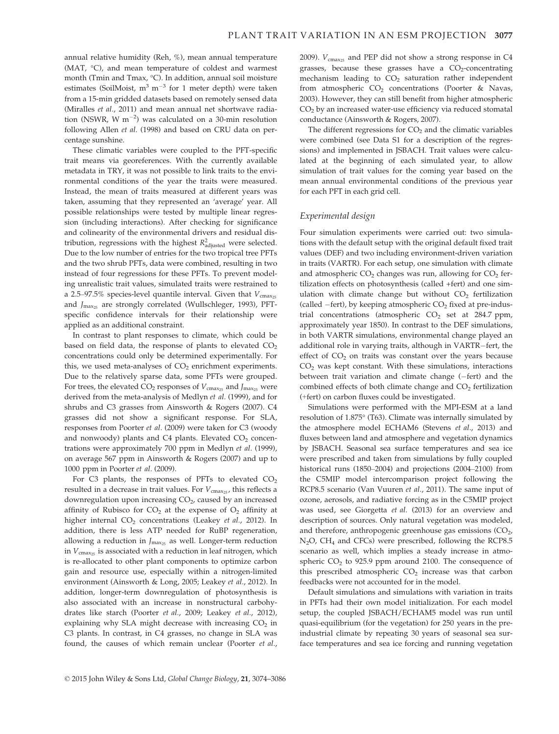annual relative humidity (Reh, %), mean annual temperature (MAT, °C), and mean temperature of coldest and warmest month (Tmin and Tmax, °C). In addition, annual soil moisture estimates (SoilMoist,  $m^3$   $m^{-3}$  for 1 meter depth) were taken from a 15-min gridded datasets based on remotely sensed data (Miralles et al., 2011) and mean annual net shortwave radiation (NSWR, W  $m^{-2}$ ) was calculated on a 30-min resolution following Allen et al. (1998) and based on CRU data on percentage sunshine.

These climatic variables were coupled to the PFT-specific trait means via georeferences. With the currently available metadata in TRY, it was not possible to link traits to the environmental conditions of the year the traits were measured. Instead, the mean of traits measured at different years was taken, assuming that they represented an 'average' year. All possible relationships were tested by multiple linear regression (including interactions). After checking for significance and colinearity of the environmental drivers and residual distribution, regressions with the highest  $R^2_{\text{adjusted}}$  were selected. Due to the low number of entries for the two tropical tree PFTs and the two shrub PFTs, data were combined, resulting in two instead of four regressions for these PFTs. To prevent modeling unrealistic trait values, simulated traits were restrained to a 2.5–97.5% species-level quantile interval. Given that  $V_{\text{cmax}_{25}}$ and  $J_{\text{max}_{25}}$  are strongly correlated (Wullschleger, 1993), PFTspecific confidence intervals for their relationship were applied as an additional constraint.

In contrast to plant responses to climate, which could be based on field data, the response of plants to elevated  $CO<sub>2</sub>$ concentrations could only be determined experimentally. For this, we used meta-analyses of  $CO<sub>2</sub>$  enrichment experiments. Due to the relatively sparse data, some PFTs were grouped. For trees, the elevated  $CO_2$  responses of  $V_{\text{cmax}_25}$  and  $J_{\text{max}_25}$  were derived from the meta-analysis of Medlyn et al. (1999), and for shrubs and C3 grasses from Ainsworth & Rogers (2007). C4 grasses did not show a significant response. For SLA, responses from Poorter et al. (2009) were taken for C3 (woody and nonwoody) plants and C4 plants. Elevated  $CO<sub>2</sub>$  concentrations were approximately 700 ppm in Medlyn et al. (1999), on average 567 ppm in Ainsworth & Rogers (2007) and up to 1000 ppm in Poorter et al. (2009).

For C3 plants, the responses of PFTs to elevated  $CO<sub>2</sub>$ resulted in a decrease in trait values. For  $V_{\text{cmax}_{25}}$ , this reflects a downregulation upon increasing CO<sub>2</sub>, caused by an increased affinity of Rubisco for  $CO<sub>2</sub>$  at the expense of  $O<sub>2</sub>$  affinity at higher internal  $CO<sub>2</sub>$  concentrations (Leakey et al., 2012). In addition, there is less ATP needed for RuBP regeneration, allowing a reduction in  $J_{\text{max}_{25}}$  as well. Longer-term reduction in  $V_{\text{cmax}_{25}}$  is associated with a reduction in leaf nitrogen, which is re-allocated to other plant components to optimize carbon gain and resource use, especially within a nitrogen-limited environment (Ainsworth & Long, 2005; Leakey et al., 2012). In addition, longer-term downregulation of photosynthesis is also associated with an increase in nonstructural carbohydrates like starch (Poorter et al., 2009; Leakey et al., 2012), explaining why SLA might decrease with increasing  $CO<sub>2</sub>$  in C3 plants. In contrast, in C4 grasses, no change in SLA was found, the causes of which remain unclear (Poorter et al., 2009).  $V_{\text{cmax}_{25}}$  and PEP did not show a strong response in C4 grasses, because these grasses have a  $CO<sub>2</sub>$ -concentrating mechanism leading to  $CO<sub>2</sub>$  saturation rather independent from atmospheric CO<sub>2</sub> concentrations (Poorter & Navas, 2003). However, they can still benefit from higher atmospheric CO<sub>2</sub> by an increased water-use efficiency via reduced stomatal conductance (Ainsworth & Rogers, 2007).

The different regressions for  $CO<sub>2</sub>$  and the climatic variables were combined (see Data S1 for a description of the regressions) and implemented in JSBACH. Trait values were calculated at the beginning of each simulated year, to allow simulation of trait values for the coming year based on the mean annual environmental conditions of the previous year for each PFT in each grid cell.

## Experimental design

Four simulation experiments were carried out: two simulations with the default setup with the original default fixed trait values (DEF) and two including environment-driven variation in traits (VARTR). For each setup, one simulation with climate and atmospheric  $CO<sub>2</sub>$  changes was run, allowing for  $CO<sub>2</sub>$  fertilization effects on photosynthesis (called +fert) and one simulation with climate change but without  $CO<sub>2</sub>$  fertilization (called  $-$ fert), by keeping atmospheric  $CO<sub>2</sub>$  fixed at pre-industrial concentrations (atmospheric  $CO<sub>2</sub>$  set at 284.7 ppm, approximately year 1850). In contrast to the DEF simulations, in both VARTR simulations, environmental change played an additional role in varying traits, although in VARTR-fert, the effect of  $CO<sub>2</sub>$  on traits was constant over the years because  $CO<sub>2</sub>$  was kept constant. With these simulations, interactions between trait variation and climate change  $(-fert)$  and the combined effects of both climate change and  $CO<sub>2</sub>$  fertilization (+fert) on carbon fluxes could be investigated.

Simulations were performed with the MPI-ESM at a land resolution of 1.875° (T63). Climate was internally simulated by the atmosphere model ECHAM6 (Stevens et al., 2013) and fluxes between land and atmosphere and vegetation dynamics by JSBACH. Seasonal sea surface temperatures and sea ice were prescribed and taken from simulations by fully coupled historical runs (1850–2004) and projections (2004–2100) from the C5MIP model intercomparison project following the RCP8.5 scenario (Van Vuuren et al., 2011). The same input of ozone, aerosols, and radiative forcing as in the C5MIP project was used, see Giorgetta et al. (2013) for an overview and description of sources. Only natural vegetation was modeled, and therefore, anthropogenic greenhouse gas emissions  $(CO<sub>2</sub>)$ N2O, CH4 and CFCs) were prescribed, following the RCP8.5 scenario as well, which implies a steady increase in atmospheric  $CO<sub>2</sub>$  to 925.9 ppm around 2100. The consequence of this prescribed atmospheric  $CO<sub>2</sub>$  increase was that carbon feedbacks were not accounted for in the model.

Default simulations and simulations with variation in traits in PFTs had their own model initialization. For each model setup, the coupled JSBACH/ECHAM5 model was run until quasi-equilibrium (for the vegetation) for 250 years in the preindustrial climate by repeating 30 years of seasonal sea surface temperatures and sea ice forcing and running vegetation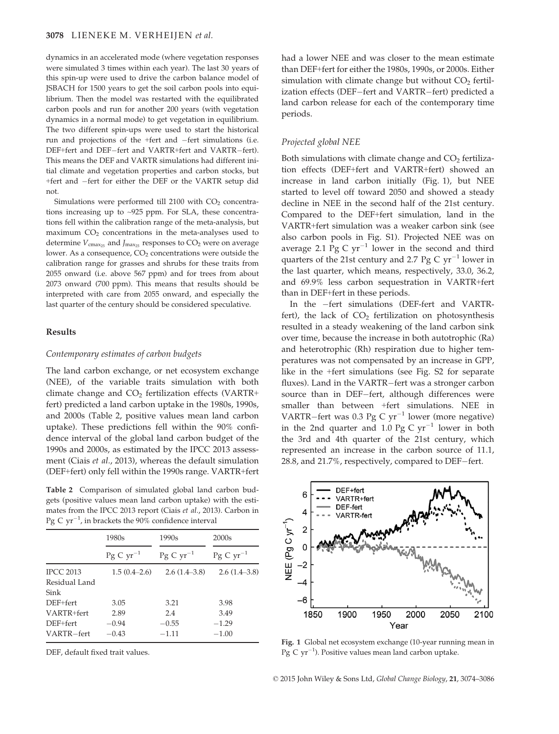dynamics in an accelerated mode (where vegetation responses were simulated 3 times within each year). The last 30 years of this spin-up were used to drive the carbon balance model of JSBACH for 1500 years to get the soil carbon pools into equilibrium. Then the model was restarted with the equilibrated carbon pools and run for another 200 years (with vegetation dynamics in a normal mode) to get vegetation in equilibrium. The two different spin-ups were used to start the historical run and projections of the +fert and  $-$ fert simulations (i.e. DEF+fert and DEF-fert and VARTR+fert and VARTR-fert). This means the DEF and VARTR simulations had different initial climate and vegetation properties and carbon stocks, but +fert and -fert for either the DEF or the VARTR setup did not.

Simulations were performed till 2100 with  $CO<sub>2</sub>$  concentrations increasing up to ~925 ppm. For SLA, these concentrations fell within the calibration range of the meta-analysis, but maximum  $CO<sub>2</sub>$  concentrations in the meta-analyses used to determine  $V_{\text{cmax}_{25}}$  and  $J_{\text{max}_{25}}$  responses to  $CO_2$  were on average lower. As a consequence, CO<sub>2</sub> concentrations were outside the calibration range for grasses and shrubs for these traits from 2055 onward (i.e. above 567 ppm) and for trees from about 2073 onward (700 ppm). This means that results should be interpreted with care from 2055 onward, and especially the last quarter of the century should be considered speculative.

#### Results

#### Contemporary estimates of carbon budgets

The land carbon exchange, or net ecosystem exchange (NEE), of the variable traits simulation with both climate change and  $CO<sub>2</sub>$  fertilization effects (VARTR+ fert) predicted a land carbon uptake in the 1980s, 1990s, and 2000s (Table 2, positive values mean land carbon uptake). These predictions fell within the 90% confidence interval of the global land carbon budget of the 1990s and 2000s, as estimated by the IPCC 2013 assessment (Ciais et al., 2013), whereas the default simulation (DEF+fert) only fell within the 1990s range. VARTR+fert

Table 2 Comparison of simulated global land carbon budgets (positive values mean land carbon uptake) with the estimates from the IPCC 2013 report (Ciais et al., 2013). Carbon in Pg C  $yr^{-1}$ , in brackets the 90% confidence interval

|                  | 1980s                | 1990 <sub>s</sub>    | 2000 <sub>s</sub>    |
|------------------|----------------------|----------------------|----------------------|
|                  | $Pg \, C \, yr^{-1}$ | $Pg \, C \, yr^{-1}$ | $Pg \, C \, yr^{-1}$ |
| <b>IPCC 2013</b> | $1.5(0.4-2.6)$       | $2.6(1.4-3.8)$       | 2.6(1.4–3.8)         |
| Residual Land    |                      |                      |                      |
| Sink             |                      |                      |                      |
| $DEF + fert$     | 3.05                 | 3.21                 | 3.98                 |
| VARTR+fert       | 2.89                 | 2.4                  | 3.49                 |
| DEF+fert         | $-0.94$              | $-0.55$              | $-1.29$              |
| VARTR-fert       | $-0.43$              | $-1.11$              | $-1.00$              |

DEF, default fixed trait values.

had a lower NEE and was closer to the mean estimate than DEF+fert for either the 1980s, 1990s, or 2000s. Either simulation with climate change but without  $CO<sub>2</sub>$  fertilization effects (DEF-fert and VARTR-fert) predicted a land carbon release for each of the contemporary time periods.

## Projected global NEE

Both simulations with climate change and  $CO<sub>2</sub>$  fertilization effects (DEF+fert and VARTR+fert) showed an increase in land carbon initially (Fig. 1), but NEE started to level off toward 2050 and showed a steady decline in NEE in the second half of the 21st century. Compared to the DEF+fert simulation, land in the VARTR+fert simulation was a weaker carbon sink (see also carbon pools in Fig. S1). Projected NEE was on average 2.1 Pg C  $yr^{-1}$  lower in the second and third quarters of the 21st century and 2.7 Pg C  $yr^{-1}$  lower in the last quarter, which means, respectively, 33.0, 36.2, and 69.9% less carbon sequestration in VARTR+fert than in DEF+fert in these periods.

In the -fert simulations (DEF-fert and VARTRfert), the lack of  $CO<sub>2</sub>$  fertilization on photosynthesis resulted in a steady weakening of the land carbon sink over time, because the increase in both autotrophic (Ra) and heterotrophic (Rh) respiration due to higher temperatures was not compensated by an increase in GPP, like in the +fert simulations (see Fig. S2 for separate fluxes). Land in the VARTR-fert was a stronger carbon source than in DEF-fert, although differences were smaller than between +fert simulations. NEE in VARTR-fert was 0.3 Pg C  $yr^{-1}$  lower (more negative) in the 2nd quarter and 1.0 Pg C  $yr^{-1}$  lower in both the 3rd and 4th quarter of the 21st century, which represented an increase in the carbon source of 11.1,  $28.8$ , and  $21.7\%$ , respectively, compared to DEF-fert.



Fig. 1 Global net ecosystem exchange (10-year running mean in Pg C  $yr^{-1}$ ). Positive values mean land carbon uptake.

© 2015 John Wiley & Sons Ltd, Global Change Biology, 21, 3074–3086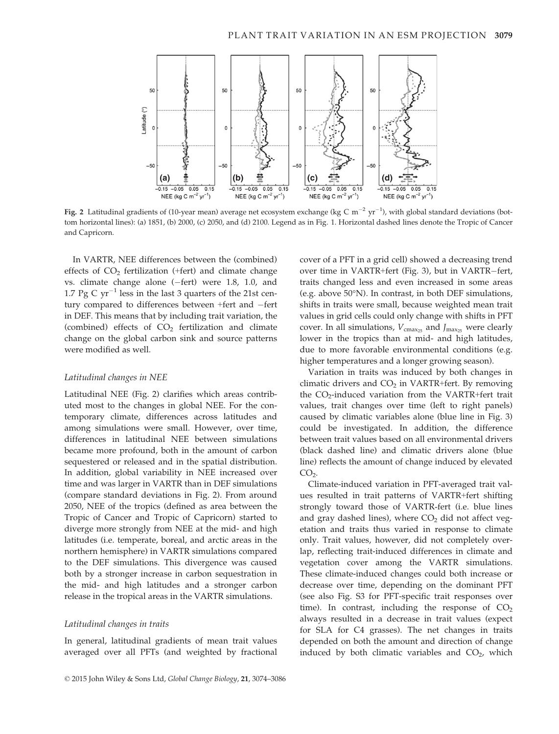

**Fig. 2** Latitudinal gradients of (10-year mean) average net ecosystem exchange (kg C m<sup>-2</sup> yr<sup>-1</sup>), with global standard deviations (bottom horizontal lines): (a) 1851, (b) 2000, (c) 2050, and (d) 2100. Legend as in Fig. 1. Horizontal dashed lines denote the Tropic of Cancer and Capricorn.

In VARTR, NEE differences between the (combined) effects of  $CO<sub>2</sub>$  fertilization (+fert) and climate change vs. climate change alone  $(-$ fert) were 1.8, 1.0, and 1.7 Pg C  $yr^{-1}$  less in the last 3 quarters of the 21st century compared to differences between +fert and -fert in DEF. This means that by including trait variation, the (combined) effects of  $CO<sub>2</sub>$  fertilization and climate change on the global carbon sink and source patterns were modified as well.

## Latitudinal changes in NEE

Latitudinal NEE (Fig. 2) clarifies which areas contributed most to the changes in global NEE. For the contemporary climate, differences across latitudes and among simulations were small. However, over time, differences in latitudinal NEE between simulations became more profound, both in the amount of carbon sequestered or released and in the spatial distribution. In addition, global variability in NEE increased over time and was larger in VARTR than in DEF simulations (compare standard deviations in Fig. 2). From around 2050, NEE of the tropics (defined as area between the Tropic of Cancer and Tropic of Capricorn) started to diverge more strongly from NEE at the mid- and high latitudes (i.e. temperate, boreal, and arctic areas in the northern hemisphere) in VARTR simulations compared to the DEF simulations. This divergence was caused both by a stronger increase in carbon sequestration in the mid- and high latitudes and a stronger carbon release in the tropical areas in the VARTR simulations.

#### Latitudinal changes in traits

In general, latitudinal gradients of mean trait values averaged over all PFTs (and weighted by fractional cover of a PFT in a grid cell) showed a decreasing trend over time in VARTR+fert (Fig. 3), but in VARTR-fert, traits changed less and even increased in some areas (e.g. above 50°N). In contrast, in both DEF simulations, shifts in traits were small, because weighted mean trait values in grid cells could only change with shifts in PFT cover. In all simulations,  $V_{\text{cmax}_{25}}$  and  $J_{\text{max}_{25}}$  were clearly lower in the tropics than at mid- and high latitudes, due to more favorable environmental conditions (e.g. higher temperatures and a longer growing season).

Variation in traits was induced by both changes in climatic drivers and  $CO<sub>2</sub>$  in VARTR+fert. By removing the CO<sub>2</sub>-induced variation from the VARTR+fert trait values, trait changes over time (left to right panels) caused by climatic variables alone (blue line in Fig. 3) could be investigated. In addition, the difference between trait values based on all environmental drivers (black dashed line) and climatic drivers alone (blue line) reflects the amount of change induced by elevated  $CO<sub>2</sub>$ .

Climate-induced variation in PFT-averaged trait values resulted in trait patterns of VARTR+fert shifting strongly toward those of VARTR-fert (i.e. blue lines and gray dashed lines), where  $CO<sub>2</sub>$  did not affect vegetation and traits thus varied in response to climate only. Trait values, however, did not completely overlap, reflecting trait-induced differences in climate and vegetation cover among the VARTR simulations. These climate-induced changes could both increase or decrease over time, depending on the dominant PFT (see also Fig. S3 for PFT-specific trait responses over time). In contrast, including the response of  $CO<sub>2</sub>$ always resulted in a decrease in trait values (expect for SLA for C4 grasses). The net changes in traits depended on both the amount and direction of change induced by both climatic variables and  $CO<sub>2</sub>$ , which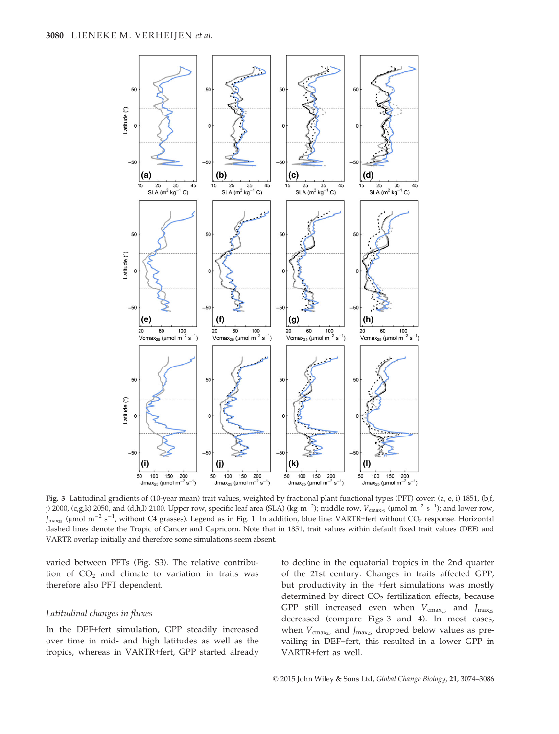

Fig. 3 Latitudinal gradients of (10-year mean) trait values, weighted by fractional plant functional types (PFT) cover: (a, e, i) 1851, (b,f, j) 2000, (c,g,k) 2050, and (d,h,l) 2100. Upper row, specific leaf area (SLA) (kg m $^{-2}$ ); middle row, V $_{\rm cmax_25}$  (µmol m $^{-2}$  s $^{-1}$ ); and lower row,  $J_{\rm max_{25}}$  (µmol m $^{-2}$  s $^{-1}$ , without C4 grasses). Legend as in Fig. 1. In addition, blue line: VARTR+fert without CO<sub>2</sub> response. Horizontal dashed lines denote the Tropic of Cancer and Capricorn. Note that in 1851, trait values within default fixed trait values (DEF) and VARTR overlap initially and therefore some simulations seem absent.

varied between PFTs (Fig. S3). The relative contribution of  $CO<sub>2</sub>$  and climate to variation in traits was therefore also PFT dependent.

## Latitudinal changes in fluxes

In the DEF+fert simulation, GPP steadily increased over time in mid- and high latitudes as well as the tropics, whereas in VARTR+fert, GPP started already to decline in the equatorial tropics in the 2nd quarter of the 21st century. Changes in traits affected GPP, but productivity in the +fert simulations was mostly determined by direct  $CO<sub>2</sub>$  fertilization effects, because GPP still increased even when  $V_{\text{cmax}_{25}}$  and  $J_{\text{max}_{25}}$ decreased (compare Figs 3 and 4). In most cases, when  $V_{\text{cmax}_{25}}$  and  $J_{\text{max}_{25}}$  dropped below values as prevailing in DEF+fert, this resulted in a lower GPP in VARTR+fert as well.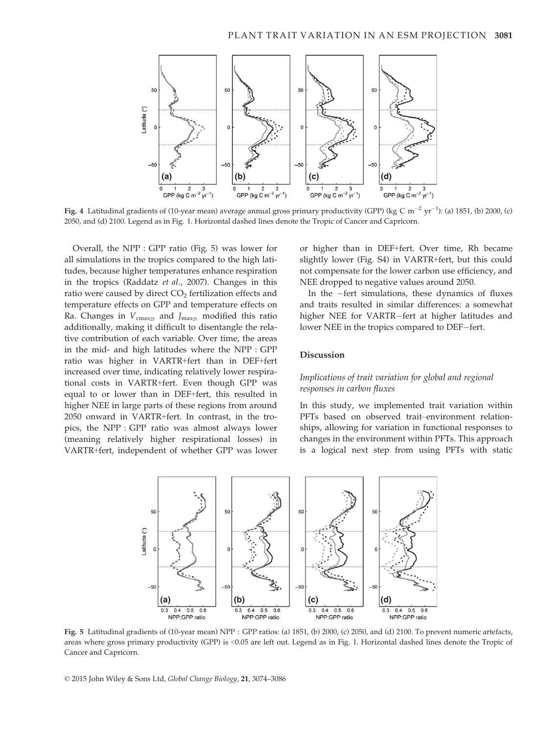

**Fig. 4** Latitudinal gradients of (10-year mean) average annual gross primary productivity (GPP) (kg C m<sup>-2</sup> yr<sup>-1</sup>): (a) 1851, (b) 2000, (c) 2050, and (d) 2100. Legend as in Fig. 1. Horizontal dashed lines denote the Tropic of Cancer and Capricorn.

Overall, the NPP : GPP ratio (Fig. 5) was lower for all simulations in the tropics compared to the high latitudes, because higher temperatures enhance respiration in the tropics (Raddatz et al., 2007). Changes in this ratio were caused by direct CO<sub>2</sub> fertilization effects and temperature effects on GPP and temperature effects on Ra. Changes in  $V_{\text{cmax}_{25}}$  and  $J_{\text{max}_{25}}$  modified this ratio additionally, making it difficult to disentangle the relative contribution of each variable. Over time, the areas in the mid- and high latitudes where the NPP : GPP ratio was higher in VARTR+fert than in DEF+fert increased over time, indicating relatively lower respirational costs in VARTR+fert. Even though GPP was equal to or lower than in DEF+fert, this resulted in higher NEE in large parts of these regions from around 2050 onward in VARTR+fert. In contrast, in the tropics, the NPP : GPP ratio was almost always lower (meaning relatively higher respirational losses) in VARTR+fert, independent of whether GPP was lower or higher than in DEF+fert. Over time, Rh became slightly lower (Fig. S4) in VARTR+fert, but this could not compensate for the lower carbon use efficiency, and NEE dropped to negative values around 2050.

In the  $-$ fert simulations, these dynamics of fluxes and traits resulted in similar differences: a somewhat higher NEE for VARTR-fert at higher latitudes and lower NEE in the tropics compared to DEF-fert.

## Discussion

## Implications of trait variation for global and regional responses in carbon fluxes

In this study, we implemented trait variation within PFTs based on observed trait–environment relationships, allowing for variation in functional responses to changes in the environment within PFTs. This approach is a logical next step from using PFTs with static



Fig. 5 Latitudinal gradients of (10-year mean) NPP : GPP ratios: (a) 1851, (b) 2000, (c) 2050, and (d) 2100. To prevent numeric artefacts, areas where gross primary productivity (GPP) is <0.05 are left out. Legend as in Fig. 1. Horizontal dashed lines denote the Tropic of Cancer and Capricorn.

© 2015 John Wiley & Sons Ltd, Global Change Biology, 21, 3074–3086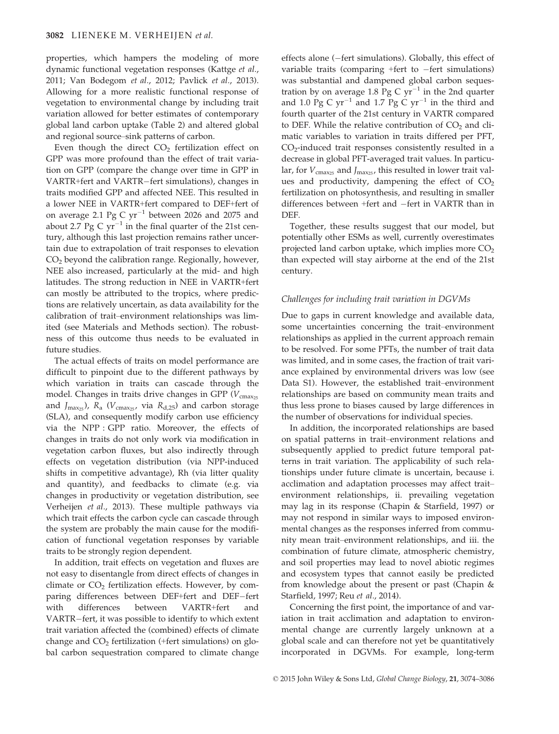properties, which hampers the modeling of more dynamic functional vegetation responses (Kattge et al., 2011; Van Bodegom et al., 2012; Pavlick et al., 2013). Allowing for a more realistic functional response of vegetation to environmental change by including trait variation allowed for better estimates of contemporary global land carbon uptake (Table 2) and altered global and regional source–sink patterns of carbon.

Even though the direct  $CO<sub>2</sub>$  fertilization effect on GPP was more profound than the effect of trait variation on GPP (compare the change over time in GPP in VARTR+fert and VARTR-fert simulations), changes in traits modified GPP and affected NEE. This resulted in a lower NEE in VARTR+fert compared to DEF+fert of on average 2.1 Pg C  $yr^{-1}$  between 2026 and 2075 and about 2.7 Pg C  $yr^{-1}$  in the final quarter of the 21st century, although this last projection remains rather uncertain due to extrapolation of trait responses to elevation CO2 beyond the calibration range. Regionally, however, NEE also increased, particularly at the mid- and high latitudes. The strong reduction in NEE in VARTR+fert can mostly be attributed to the tropics, where predictions are relatively uncertain, as data availability for the calibration of trait–environment relationships was limited (see Materials and Methods section). The robustness of this outcome thus needs to be evaluated in future studies.

The actual effects of traits on model performance are difficult to pinpoint due to the different pathways by which variation in traits can cascade through the model. Changes in traits drive changes in GPP ( $V_{\text{cmax}_{25}}$ and  $J_{\text{max}_{25}}$ ),  $R_a$  ( $V_{\text{cmax}_{25}}$ , via  $R_{d,25}$ ) and carbon storage (SLA), and consequently modify carbon use efficiency via the NPP : GPP ratio. Moreover, the effects of changes in traits do not only work via modification in vegetation carbon fluxes, but also indirectly through effects on vegetation distribution (via NPP-induced shifts in competitive advantage), Rh (via litter quality and quantity), and feedbacks to climate (e.g. via changes in productivity or vegetation distribution, see Verheijen et al., 2013). These multiple pathways via which trait effects the carbon cycle can cascade through the system are probably the main cause for the modification of functional vegetation responses by variable traits to be strongly region dependent.

In addition, trait effects on vegetation and fluxes are not easy to disentangle from direct effects of changes in climate or  $CO<sub>2</sub>$  fertilization effects. However, by comparing differences between DEF+fert and DEF–fert with differences between VARTR+fert and **VARTR+fert** VARTR-fert, it was possible to identify to which extent trait variation affected the (combined) effects of climate change and  $CO<sub>2</sub>$  fertilization (+fert simulations) on global carbon sequestration compared to climate change effects alone  $(-$  fert simulations). Globally, this effect of variable traits (comparing  $+$ fert to  $-$ fert simulations) was substantial and dampened global carbon sequestration by on average 1.8 Pg C  $yr^{-1}$  in the 2nd quarter and 1.0 Pg C  $yr^{-1}$  and 1.7 Pg C  $yr^{-1}$  in the third and fourth quarter of the 21st century in VARTR compared to DEF. While the relative contribution of  $CO<sub>2</sub>$  and climatic variables to variation in traits differed per PFT,  $CO<sub>2</sub>$ -induced trait responses consistently resulted in a decrease in global PFT-averaged trait values. In particular, for  $V_{\text{cmax}_{25}}$  and  $J_{\text{max}_{25}}$ , this resulted in lower trait values and productivity, dampening the effect of  $CO<sub>2</sub>$ fertilization on photosynthesis, and resulting in smaller differences between +fert and -fert in VARTR than in DEF.

Together, these results suggest that our model, but potentially other ESMs as well, currently overestimates projected land carbon uptake, which implies more  $CO<sub>2</sub>$ than expected will stay airborne at the end of the 21st century.

#### Challenges for including trait variation in DGVMs

Due to gaps in current knowledge and available data, some uncertainties concerning the trait–environment relationships as applied in the current approach remain to be resolved. For some PFTs, the number of trait data was limited, and in some cases, the fraction of trait variance explained by environmental drivers was low (see Data S1). However, the established trait–environment relationships are based on community mean traits and thus less prone to biases caused by large differences in the number of observations for individual species.

In addition, the incorporated relationships are based on spatial patterns in trait–environment relations and subsequently applied to predict future temporal patterns in trait variation. The applicability of such relationships under future climate is uncertain, because i. acclimation and adaptation processes may affect trait– environment relationships, ii. prevailing vegetation may lag in its response (Chapin & Starfield, 1997) or may not respond in similar ways to imposed environmental changes as the responses inferred from community mean trait–environment relationships, and iii. the combination of future climate, atmospheric chemistry, and soil properties may lead to novel abiotic regimes and ecosystem types that cannot easily be predicted from knowledge about the present or past (Chapin & Starfield, 1997; Reu et al., 2014).

Concerning the first point, the importance of and variation in trait acclimation and adaptation to environmental change are currently largely unknown at a global scale and can therefore not yet be quantitatively incorporated in DGVMs. For example, long-term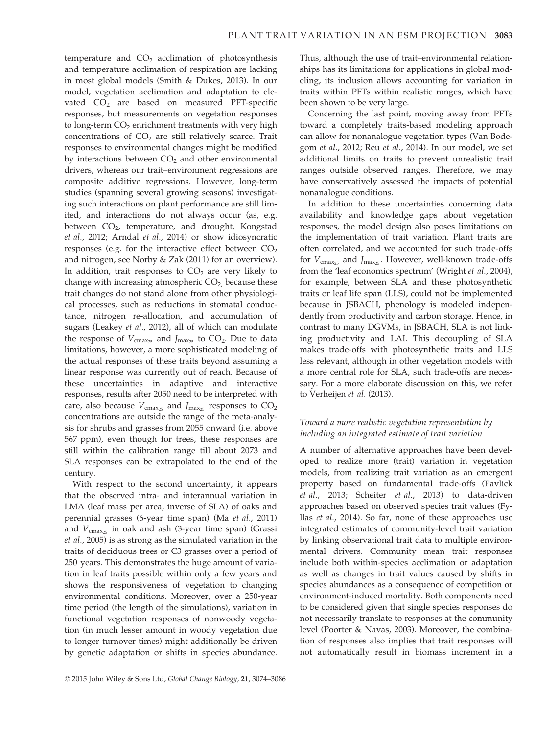temperature and  $CO<sub>2</sub>$  acclimation of photosynthesis and temperature acclimation of respiration are lacking in most global models (Smith & Dukes, 2013). In our model, vegetation acclimation and adaptation to elevated  $CO<sub>2</sub>$  are based on measured PFT-specific responses, but measurements on vegetation responses to long-term CO<sub>2</sub> enrichment treatments with very high concentrations of  $CO<sub>2</sub>$  are still relatively scarce. Trait responses to environmental changes might be modified by interactions between  $CO<sub>2</sub>$  and other environmental drivers, whereas our trait–environment regressions are composite additive regressions. However, long-term studies (spanning several growing seasons) investigating such interactions on plant performance are still limited, and interactions do not always occur (as, e.g. between CO<sub>2</sub>, temperature, and drought, Kongstad et al., 2012; Arndal et al., 2014) or show idiosyncratic responses (e.g. for the interactive effect between  $CO<sub>2</sub>$ and nitrogen, see Norby & Zak (2011) for an overview). In addition, trait responses to  $CO<sub>2</sub>$  are very likely to change with increasing atmospheric  $CO<sub>2</sub>$  because these trait changes do not stand alone from other physiological processes, such as reductions in stomatal conductance, nitrogen re-allocation, and accumulation of sugars (Leakey et al., 2012), all of which can modulate the response of  $V_{\text{cmax}_{25}}$  and  $J_{\text{max}_{25}}$  to CO<sub>2</sub>. Due to data limitations, however, a more sophisticated modeling of the actual responses of these traits beyond assuming a linear response was currently out of reach. Because of these uncertainties in adaptive and interactive responses, results after 2050 need to be interpreted with care, also because  $V_{\text{cmax}_{25}}$  and  $J_{\text{max}_{25}}$  responses to  $CO_2$ concentrations are outside the range of the meta-analysis for shrubs and grasses from 2055 onward (i.e. above 567 ppm), even though for trees, these responses are still within the calibration range till about 2073 and SLA responses can be extrapolated to the end of the century.

With respect to the second uncertainty, it appears that the observed intra- and interannual variation in LMA (leaf mass per area, inverse of SLA) of oaks and perennial grasses (6-year time span) (Ma et al., 2011) and  $V_{\text{cmax}_{25}}$  in oak and ash (3-year time span) (Grassi et al., 2005) is as strong as the simulated variation in the traits of deciduous trees or C3 grasses over a period of 250 years. This demonstrates the huge amount of variation in leaf traits possible within only a few years and shows the responsiveness of vegetation to changing environmental conditions. Moreover, over a 250-year time period (the length of the simulations), variation in functional vegetation responses of nonwoody vegetation (in much lesser amount in woody vegetation due to longer turnover times) might additionally be driven by genetic adaptation or shifts in species abundance. Thus, although the use of trait–environmental relationships has its limitations for applications in global modeling, its inclusion allows accounting for variation in traits within PFTs within realistic ranges, which have been shown to be very large.

Concerning the last point, moving away from PFTs toward a completely traits-based modeling approach can allow for nonanalogue vegetation types (Van Bodegom et al., 2012; Reu et al., 2014). In our model, we set additional limits on traits to prevent unrealistic trait ranges outside observed ranges. Therefore, we may have conservatively assessed the impacts of potential nonanalogue conditions.

In addition to these uncertainties concerning data availability and knowledge gaps about vegetation responses, the model design also poses limitations on the implementation of trait variation. Plant traits are often correlated, and we accounted for such trade-offs for  $V_{\text{cmax}_{25}}$  and  $J_{\text{max}_{25}}$ . However, well-known trade-offs from the 'leaf economics spectrum' (Wright et al., 2004), for example, between SLA and these photosynthetic traits or leaf life span (LLS), could not be implemented because in JSBACH, phenology is modeled independently from productivity and carbon storage. Hence, in contrast to many DGVMs, in JSBACH, SLA is not linking productivity and LAI. This decoupling of SLA makes trade-offs with photosynthetic traits and LLS less relevant, although in other vegetation models with a more central role for SLA, such trade-offs are necessary. For a more elaborate discussion on this, we refer to Verheijen et al. (2013).

## Toward a more realistic vegetation representation by including an integrated estimate of trait variation

A number of alternative approaches have been developed to realize more (trait) variation in vegetation models, from realizing trait variation as an emergent property based on fundamental trade-offs (Pavlick et al., 2013; Scheiter et al., 2013) to data-driven approaches based on observed species trait values (Fyllas et al., 2014). So far, none of these approaches use integrated estimates of community-level trait variation by linking observational trait data to multiple environmental drivers. Community mean trait responses include both within-species acclimation or adaptation as well as changes in trait values caused by shifts in species abundances as a consequence of competition or environment-induced mortality. Both components need to be considered given that single species responses do not necessarily translate to responses at the community level (Poorter & Navas, 2003). Moreover, the combination of responses also implies that trait responses will not automatically result in biomass increment in a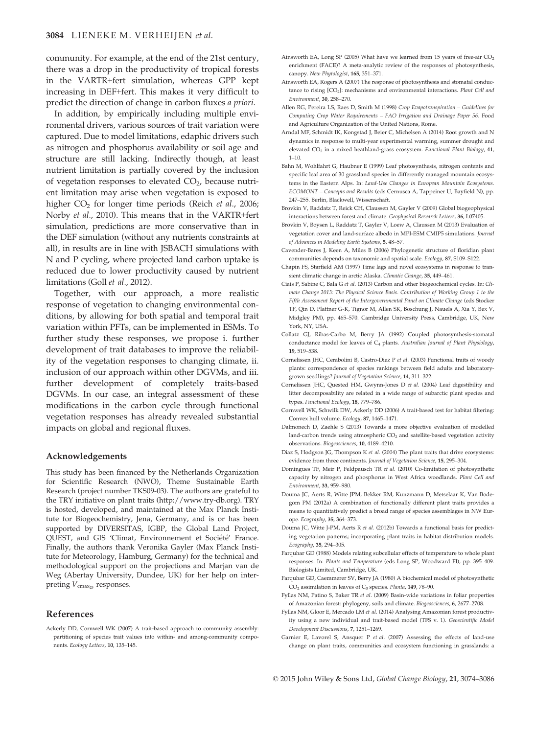community. For example, at the end of the 21st century, there was a drop in the productivity of tropical forests in the VARTR+fert simulation, whereas GPP kept increasing in DEF+fert. This makes it very difficult to predict the direction of change in carbon fluxes a priori.

In addition, by empirically including multiple environmental drivers, various sources of trait variation were captured. Due to model limitations, edaphic drivers such as nitrogen and phosphorus availability or soil age and structure are still lacking. Indirectly though, at least nutrient limitation is partially covered by the inclusion of vegetation responses to elevated  $CO<sub>2</sub>$ , because nutrient limitation may arise when vegetation is exposed to higher  $CO<sub>2</sub>$  for longer time periods (Reich *et al.*, 2006; Norby et al., 2010). This means that in the VARTR+fert simulation, predictions are more conservative than in the DEF simulation (without any nutrients constraints at all), in results are in line with JSBACH simulations with N and P cycling, where projected land carbon uptake is reduced due to lower productivity caused by nutrient limitations (Goll et al., 2012).

Together, with our approach, a more realistic response of vegetation to changing environmental conditions, by allowing for both spatial and temporal trait variation within PFTs, can be implemented in ESMs. To further study these responses, we propose i. further development of trait databases to improve the reliability of the vegetation responses to changing climate, ii. inclusion of our approach within other DGVMs, and iii. further development of completely traits-based DGVMs. In our case, an integral assessment of these modifications in the carbon cycle through functional vegetation responses has already revealed substantial impacts on global and regional fluxes.

#### Acknowledgements

This study has been financed by the Netherlands Organization for Scientific Research (NWO), Theme Sustainable Earth Research (project number TKS09-03). The authors are grateful to the TRY initiative on plant traits [\(http://www.try-db.org](http://www.try-db.org)). TRY is hosted, developed, and maintained at the Max Planck Institute for Biogeochemistry, Jena, Germany, and is or has been supported by DIVERSITAS, IGBP, the Global Land Project, QUEST, and GIS 'Climat, Environnement et Société' France. Finally, the authors thank Veronika Gayler (Max Planck Institute for Meteorology, Hamburg, Germany) for the technical and methodological support on the projections and Marjan van de Weg (Abertay University, Dundee, UK) for her help on interpreting  $V_{\text{cmax}_{25}}$  responses.

#### References

Ackerly DD, Cornwell WK (2007) A trait-based approach to community assembly: partitioning of species trait values into within- and among-community components. Ecology Letters, 10, 135–145.

- Ainsworth EA, Long SP (2005) What have we learned from 15 years of free-air  $CO<sub>2</sub>$ enrichment (FACE)? A meta-analytic review of the responses of photosynthesis, canopy. New Phytologist, 165, 351–371.
- Ainsworth EA, Rogers A (2007) The response of photosynthesis and stomatal conductance to rising [CO<sub>2</sub>]: mechanisms and environmental interactions. Plant Cell and Environment, 30, 258–270.
- Allen RG, Pereira LS, Raes D, Smith M (1998) Crop Evapotranspiration Guidelines for Computing Crop Water Requirements – FAO Irrigation and Drainage Paper 56. Food and Agriculture Organization of the United Nations, Rome.
- Arndal MF, Schmidt IK, Kongstad J, Beier C, Michelsen A (2014) Root growth and N dynamics in response to multi-year experimental warming, summer drought and elevated CO<sub>2</sub> in a mixed heathland-grass ecosystem. Functional Plant Biology, 41, 1–10.
- Bahn M, Wohlfahrt G, Haubner E (1999) Leaf photosynthesis, nitrogen contents and specific leaf area of 30 grassland species in differently managed mountain ecosystems in the Eastern Alps. In: Land-Use Changes in European Mountain Ecosystems. ECOMONT – Concepts and Results (eds Cernusca A, Tappeiner U, Bayfield N), pp. 247–255. Berlin, Blackwell, Wissenschaft.
- Brovkin V, Raddatz T, Reick CH, Claussen M, Gayler V (2009) Global biogeophysical interactions between forest and climate. Geophysical Research Letters, 36, L07405.
- Brovkin V, Boysen L, Raddatz T, Gayler V, Loew A, Claussen M (2013) Evaluation of vegetation cover and land-surface albedo in MPI-ESM CMIP5 simulations. Journal of Advances in Modeling Earth Systems, 5, 48–57.
- Cavender-Bares J, Keen A, Miles B (2006) Phylogenetic structure of floridian plant communities depends on taxonomic and spatial scale. Ecology, 87, S109–S122.
- Chapin FS, Starfield AM (1997) Time lags and novel ecosystems in response to transient climatic change in arctic Alaska. Climatic Change, 35, 449-461.
- Ciais P, Sabine C, Bala G et al. (2013) Carbon and other biogeochemical cycles. In: Climate Change 2013: The Physical Science Basis. Contribution of Working Group 1 to the Fifth Assessment Report of the Intergovernmental Panel on Climate Change (eds Stocker TF, Qin D, Plattner G-K, Tignor M, Allen SK, Boschung J, Nauels A, Xia Y, Bex V, Midgley PM), pp. 465–570. Cambridge University Press, Cambridge, UK, New York, NY, USA.
- Collatz GJ, Ribas-Carbo M, Berry JA (1992) Coupled photosynthesis-stomatal conductance model for leaves of C<sub>4</sub> plants. Australian Journal of Plant Physiology, 19, 519–538.
- Cornelissen JHC, Cerabolini B, Castro-Diez P et al. (2003) Functional traits of woody plants: correspondence of species rankings between field adults and laboratorygrown seedlings? Journal of Vegetation Science, 14, 311–322.
- Cornelissen JHC, Quested HM, Gwynn-Jones D et al. (2004) Leaf digestibility and litter decomposability are related in a wide range of subarctic plant species and types. Functional Ecology, 18, 779–786.
- Cornwell WK, Schwilk DW, Ackerly DD (2006) A trait-based test for habitat filtering: Convex hull volume. Ecology, 87, 1465–1471.
- Dalmonech D, Zaehle S (2013) Towards a more objective evaluation of modelled land-carbon trends using atmospheric CO<sub>2</sub> and satellite-based vegetation activity observations. Biogeosciences, 10, 4189–4210.
- Diaz S, Hodgson JG, Thompson K et al. (2004) The plant traits that drive ecosystems: evidence from three continents. Journal of Vegetation Science, 15, 295-304.
- Domingues TF, Meir P, Feldpausch TR et al. (2010) Co-limitation of photosynthetic capacity by nitrogen and phosphorus in West Africa woodlands. Plant Cell and Environment, 33, 959–980.
- Douma JC, Aerts R, Witte JPM, Bekker RM, Kunzmann D, Metselaar K, Van Bodegom PM (2012a) A combination of functionally different plant traits provides a means to quantitatively predict a broad range of species assemblages in NW Europe. Ecography, 35, 364–373.
- Douma JC, Witte J-PM, Aerts R et al. (2012b) Towards a functional basis for predicting vegetation patterns; incorporating plant traits in habitat distribution models. Ecography, 35, 294–305.
- Farquhar GD (1988) Models relating subcellular effects of temperature to whole plant responses. In: Plants and Temperature (eds Long SP, Woodward FI), pp. 395–409. Biologists Limited, Cambridge, UK.
- Farquhar GD, Caemmerer SV, Berry JA (1980) A biochemical model of photosynthetic  $CO<sub>2</sub>$  assimilation in leaves of  $C<sub>3</sub>$  species. Planta, 149, 78–90.
- Fyllas NM, Patino S, Baker TR et al. (2009) Basin-wide variations in foliar properties of Amazonian forest: phylogeny, soils and climate. Biogeosciences, 6, 2677–2708.
- Fyllas NM, Gloor E, Mercado LM et al. (2014) Analysing Amazonian forest productivity using a new individual and trait-based model (TFS v. 1). Geoscientific Model Development Discussions, 7, 1251–1269.
- Garnier E, Lavorel S, Ansquer P et al. (2007) Assessing the effects of land-use change on plant traits, communities and ecosystem functioning in grasslands: a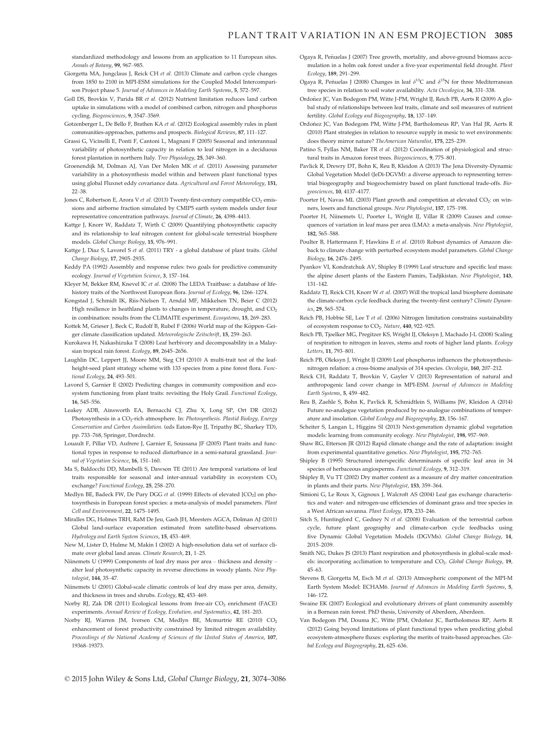standardized methodology and lessons from an application to 11 European sites. Annals of Botany, 99, 967–985.

- Giorgetta MA, Jungclaus J, Reick CH et al. (2013) Climate and carbon cycle changes from 1850 to 2100 in MPI-ESM simulations for the Coupled Model Intercomparison Project phase 5. Journal of Advances in Modeling Earth Systems, 5, 572-597.
- Goll DS, Brovkin V, Parida BR et al. (2012) Nutrient limitation reduces land carbon uptake in simulations with a model of combined carbon, nitrogen and phosphorus cycling. Biogeosciences, 9, 3547–3569.
- Gotzenberger L, De Bello F, Brathen KA et al. (2012) Ecological assembly rules in plant communities-approaches, patterns and prospects. Biological Reviews, 87, 111–127.
- Grassi G, Vicinelli E, Ponti F, Cantoni L, Magnani F (2005) Seasonal and interannual variability of photosynthetic capacity in relation to leaf nitrogen in a deciduous forest plantation in northern Italy. Tree Physiology, 25, 349–360.
- Groenendijk M, Dolman AJ, Van Der Molen MK et al. (2011) Assessing parameter variability in a photosynthesis model within and between plant functional types using global Fluxnet eddy covariance data. Agricultural and Forest Meteorology, 151, 22–38.
- Jones C, Robertson E, Arora V et al. (2013) Twenty-first-century compatible CO<sub>2</sub> emissions and airborne fraction simulated by CMIP5 earth system models under four representative concentration pathways. Journal of Climate, 26, 4398–4413.
- Kattge J, Knorr W, Raddatz T, Wirth C (2009) Quantifying photosynthetic capacity and its relationship to leaf nitrogen content for global-scale terrestrial biosphere models. Global Change Biology, 15, 976–991.
- Kattge J, Diaz S, Lavorel S et al. (2011) TRY a global database of plant traits. Global Change Biology, 17, 2905–2935.
- Keddy PA (1992) Assembly and response rules: two goals for predictive community ecology. Journal of Vegetation Science, 3, 157–164.
- Kleyer M, Bekker RM, Knevel IC et al. (2008) The LEDA Traitbase: a database of lifehistory traits of the Northwest European flora. Journal of Ecology, 96, 1266–1274.
- Kongstad J, Schmidt IK, Riis-Nielsen T, Arndal MF, Mikkelsen TN, Beier C (2012) High resilience in heathland plants to changes in temperature, drought, and CO<sub>2</sub> in combination: results from the CLIMAITE experiment. Ecosystems, 15, 269–283.
- Kottek M, Grieser J, Beck C, Rudolf B, Rubel F (2006) World map of the Köppen-Geiger climate classification updated. Meteorologische Zeitschrift, 15, 259–263.
- Kurokawa H, Nakashizuka T (2008) Leaf herbivory and decomposability in a Malaysian tropical rain forest. Ecology, 89, 2645–2656.
- Laughlin DC, Leppert JJ, Moore MM, Sieg CH (2010) A multi-trait test of the leafheight-seed plant strategy scheme with 133 species from a pine forest flora. Functional Ecology, 24, 493–501.
- Lavorel S, Garnier E (2002) Predicting changes in community composition and ecosystem functioning from plant traits: revisiting the Holy Grail. Functional Ecology, 16, 545–556.
- Leakey ADB, Ainsworth EA, Bernacchi CJ, Zhu X, Long SP, Ort DR (2012) Photosynthesis in a CO<sub>2</sub>-rich atmosphere. In: Photosynthesis. Plastid Biology, Energy Conservation and Carbon Assimilation. (eds Eaton-Rye JJ, Tripathy BC, Sharkey TD), pp. 733–768, Springer, Dordrecht.
- Louault F, Pillar VD, Aufrere J, Garnier E, Soussana JF (2005) Plant traits and functional types in response to reduced disturbance in a semi-natural grassland. Journal of Vegetation Science, 16, 151–160.
- Ma S, Baldocchi DD, Mambelli S, Dawson TE (2011) Are temporal variations of leaf traits responsible for seasonal and inter-annual variability in ecosystem CO<sub>2</sub> exchange? Functional Ecology, 25, 258–270.
- Medlyn BE, Badeck FW, De Pury DGG et al. (1999) Effects of elevated [CO<sub>2</sub>] on photosynthesis in European forest species: a meta-analysis of model parameters. Plant Cell and Environment, 22, 1475–1495.
- Miralles DG, Holmes TRH, RaM De Jeu, Gash JH, Meesters AGCA, Dolman AJ (2011) Global land-surface evaporation estimated from satellite-based observations. Hydrology and Earth System Sciences, 15, 453–469.
- New M, Lister D, Hulme M, Makin I (2002) A high-resolution data set of surface climate over global land areas. Climate Research, 21, 1–25.
- Niinemets U (1999) Components of leaf dry mass per area thickness and density alter leaf photosynthetic capacity in reverse directions in woody plants. New Phytologist, 144, 35–47.
- Niinemets U (2001) Global-scale climatic controls of leaf dry mass per area, density, and thickness in trees and shrubs. Ecology, 82, 453–469.
- Norby RJ, Zak DR (2011) Ecological lessons from free-air CO<sub>2</sub> enrichment (FACE) experiments. Annual Review of Ecology, Evolution, and Systematics, 42, 181–203.
- Norby RJ, Warren JM, Iversen CM, Medlyn BE, Mcmurtrie RE (2010) CO<sub>2</sub> enhancement of forest productivity constrained by limited nitrogen availability. Proceedings of the National Academy of Sciences of the United States of America, 107, 19368–19373.
- Ogaya R, Peñuelas J (2007) Tree growth, mortality, and above-ground biomass accumulation in a holm oak forest under a five-year experimental field drought. Plant Ecology, 189, 291–299.
- Ogaya R, Peñuelas J (2008) Changes in leaf  $\delta^{13}$ C and  $\delta^{15}$ N for three Mediterranean tree species in relation to soil water availability. Acta Oecologica, 34, 331–338.
- Ordonez JC, Van Bodegom PM, Witte J-PM, Wright IJ, Reich PB, Aerts R (2009) A glo- ~ bal study of relationships between leaf traits, climate and soil measures of nutrient fertility. Global Ecology and Biogeography, 18, 137–149.
- Ordonez JC, Van Bodegom PM, Witte J-PM, Bartholomeus RP, Van Hal JR, Aerts R ~ (2010) Plant strategies in relation to resource supply in mesic to wet environments: does theory mirror nature? TheAmerican Naturalist, 175, 225–239.
- Patino S, Fyllas NM, Baker TR et al. (2012) Coordination of physiological and structural traits in Amazon forest trees. Biogeosciences, 9, 775–801.
- Pavlick R, Drewry DT, Bohn K, Reu B, Kleidon A (2013) The Jena Diversity-Dynamic Global Vegetation Model (JeDi-DGVM): a diverse approach to representing terrestrial biogeography and biogeochemistry based on plant functional trade-offs. Biogeosciences, 10, 4137–4177.
- Poorter H, Navas ML (2003) Plant growth and competition at elevated CO<sub>2</sub>: on winners, losers and functional groups. New Phytologist, 157, 175–198.
- Poorter H, Niinemets U, Poorter L, Wright IJ, Villar R (2009) Causes and consequences of variation in leaf mass per area (LMA): a meta-analysis. New Phytologist, 182, 565–588.
- Poulter B, Hattermann F, Hawkins E et al. (2010) Robust dynamics of Amazon dieback to climate change with perturbed ecosystem model parameters. Global Change Biology, 16, 2476–2495.
- Pyankov VI, Kondratchuk AV, Shipley B (1999) Leaf structure and specific leaf mass: the alpine desert plants of the Eastern Pamirs, Tadjikistan. New Phytologist, 143, 131–142.
- Raddatz TJ, Reick CH, Knorr W et al. (2007) Will the tropical land biosphere dominate the climate-carbon cycle feedback during the twenty-first century? Climate Dynamics, 29, 565–574.
- Reich PB, Hobbie SE, Lee T et al. (2006) Nitrogen limitation constrains sustainability of ecosystem response to CO<sub>2</sub>. Nature, 440, 922-925.
- Reich PB, Tjoelker MG, Pregitzer KS, Wright IJ, Oleksyn J, Machado J-L (2008) Scaling of respiration to nitrogen in leaves, stems and roots of higher land plants. Ecology Letters, 11, 793–801.
- Reich PB, Oleksyn J, Wright IJ (2009) Leaf phosphorus influences the photosynthesisnitrogen relation: a cross-biome analysis of 314 species. Oecologia, 160, 207–212.
- Reick CH, Raddatz T, Brovkin V, Gayler V (2013) Representation of natural and anthropogenic land cover change in MPI-ESM. Journal of Advances in Modeling Earth Systems, 5, 459–482.
- Reu B, Zaehle S, Bohn K, Pavlick R, Schmidtlein S, Williams JW, Kleidon A (2014) Future no-analogue vegetation produced by no-analogue combinations of temperature and insolation. Global Ecology and Biogeography, 23, 156–167.
- Scheiter S, Langan L, Higgins SI (2013) Next-generation dynamic global vegetation models: learning from community ecology. New Phytologist, 198, 957–969.
- Shaw RG, Etterson JR (2012) Rapid climate change and the rate of adaptation: insight from experimental quantitative genetics. New Phytologist, 195, 752–765.
- Shipley B (1995) Structured interspecific determinants of specific leaf area in 34 species of herbaceous angiosperms. Functional Ecology, 9, 312–319.
- Shipley B, Vu TT (2002) Dry matter content as a measure of dry matter concentration in plants and their parts. New Phytologist, 153, 359–364.
- Simioni G, Le Roux X, Gignoux J, Walcroft AS (2004) Leaf gas exchange characteristics and water- and nitrogen-use efficiencies of dominant grass and tree species in a West African savanna. Plant Ecology, 173, 233–246.
- Sitch S, Huntingford C, Gedney N et al. (2008) Evaluation of the terrestrial carbon cycle, future plant geography and climate-carbon cycle feedbacks using five Dynamic Global Vegetation Models (DGVMs). Global Change Biology, 14, 2015–2039.
- Smith NG, Dukes JS (2013) Plant respiration and photosynthesis in global-scale models: incorporating acclimation to temperature and  $CO<sub>2</sub>$ . Global Change Biology, 19, 45–63.
- Stevens B, Giorgetta M, Esch M et al. (2013) Atmospheric component of the MPI-M Earth System Model: ECHAM6. Journal of Advances in Modeling Earth Systems, 5, 146–172.
- Swaine EK (2007) Ecological and evolutionary drivers of plant community assembly in a Bornean rain forest. PhD thesis, University of Aberdeen, Aberdeen.
- Van Bodegom PM, Douma JC, Witte JPM, Ordoñez JC, Bartholomeus RP, Aerts R (2012) Going beyond limitations of plant functional types when predicting global ecosystem-atmosphere fluxes: exploring the merits of traits-based approaches. Global Ecology and Biogeography, 21, 625-636.